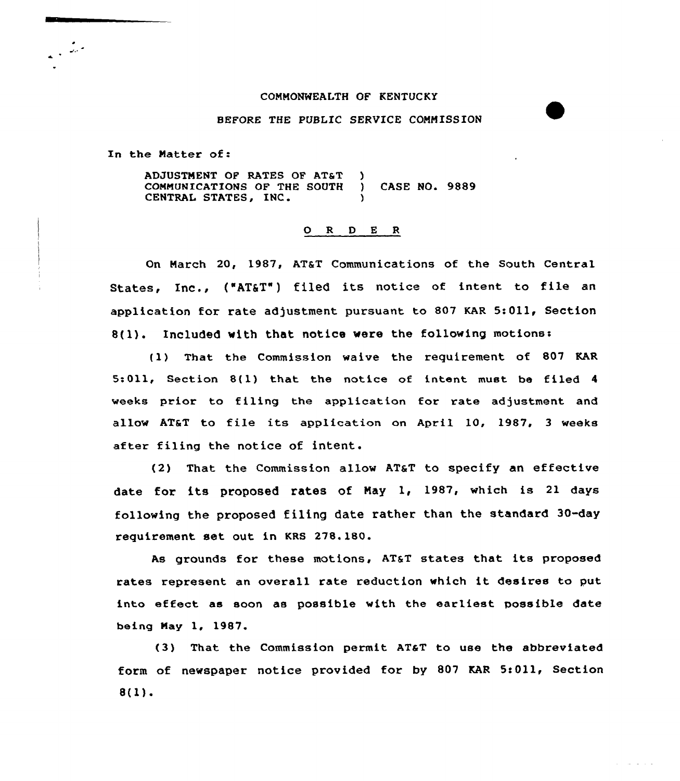## COMMONWEALTH OF KENTUCKY

## BEFORE THE PUBLIC SERVICE CONMISSION

In the Natter of:

ADJUSTMENT OF RATES OF AT&T COMMUNICATIONS OF THE SOUTH ) CASE NO. 9889 CENTRAL STATES, INC.

## O R D E R

On March 20, 1987, AT&T Communications of the South Central States, Inc., ("AT&T") filed its notice of intent to file an application for rate adjustment pursuant to 807 KAR 5:011, Section 8(1). Included with that notice were the following motions:

(1) That the Commission waive the requirement of 807 KAR 5:011, Section 8(1) that the notice of intent must be filed <sup>4</sup> weeks prior to filing the application for rate adjustment and allow AT&T to file its application on April 10, 1987, <sup>3</sup> weeks after filing the notice of intent.

(2) That the Commission allow AT&T to specify an effective date for its proposed rates of Nay 1, 1987, which is 21 days following the proposed filing date rather than the standard 30-day requirement set out in KRS 278.180.

As grounds for these motions, AT&T states that its proposed rates represent an overall rate reduction which it desires to put into effect as soon as possible with the earliest possible date being May 1, 1987.

(3) That the Commission permit AT&T to use the abbreviated form of newspaper notice provided for by 807 KAR 5:011, Section 8(1).